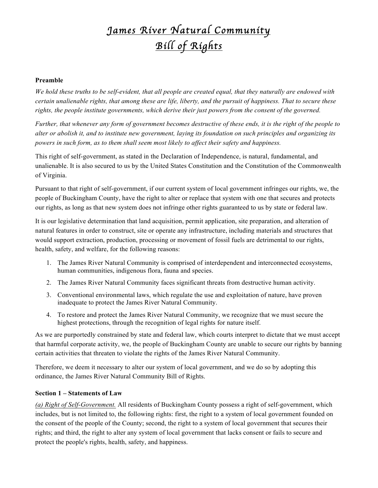## *James River Natural Community Bill of Rights*

## **Preamble**

*We hold these truths to be self-evident, that all people are created equal, that they naturally are endowed with certain unalienable rights, that among these are life, liberty, and the pursuit of happiness. That to secure these rights, the people institute governments, which derive their just powers from the consent of the governed.*

*Further, that whenever any form of government becomes destructive of these ends, it is the right of the people to alter or abolish it, and to institute new government, laying its foundation on such principles and organizing its powers in such form, as to them shall seem most likely to affect their safety and happiness.*

This right of self-government, as stated in the Declaration of Independence, is natural, fundamental, and unalienable. It is also secured to us by the United States Constitution and the Constitution of the Commonwealth of Virginia.

Pursuant to that right of self-government, if our current system of local government infringes our rights, we, the people of Buckingham County, have the right to alter or replace that system with one that secures and protects our rights, as long as that new system does not infringe other rights guaranteed to us by state or federal law.

It is our legislative determination that land acquisition, permit application, site preparation, and alteration of natural features in order to construct, site or operate any infrastructure, including materials and structures that would support extraction, production, processing or movement of fossil fuels are detrimental to our rights, health, safety, and welfare, for the following reasons:

- 1. The James River Natural Community is comprised of interdependent and interconnected ecosystems, human communities, indigenous flora, fauna and species.
- 2. The James River Natural Community faces significant threats from destructive human activity.
- 3. Conventional environmental laws, which regulate the use and exploitation of nature, have proven inadequate to protect the James River Natural Community.
- 4. To restore and protect the James River Natural Community, we recognize that we must secure the highest protections, through the recognition of legal rights for nature itself.

As we are purportedly constrained by state and federal law, which courts interpret to dictate that we must accept that harmful corporate activity, we, the people of Buckingham County are unable to secure our rights by banning certain activities that threaten to violate the rights of the James River Natural Community.

Therefore, we deem it necessary to alter our system of local government, and we do so by adopting this ordinance, the James River Natural Community Bill of Rights.

## **Section 1 – Statements of Law**

*(a) Right of Self-Government.* All residents of Buckingham County possess a right of self-government, which includes, but is not limited to, the following rights: first, the right to a system of local government founded on the consent of the people of the County; second, the right to a system of local government that secures their rights; and third, the right to alter any system of local government that lacks consent or fails to secure and protect the people's rights, health, safety, and happiness.